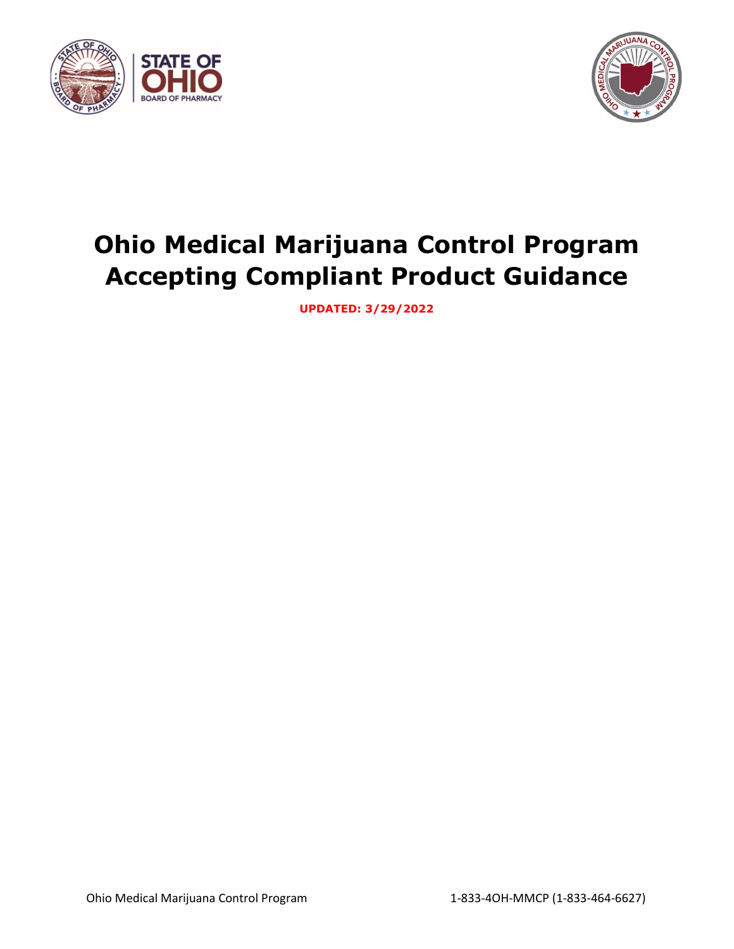



# **Ohio Medical Marijuana Control Program Accepting Compliant Product Guidance**

**UPDATED: 3/29/2022**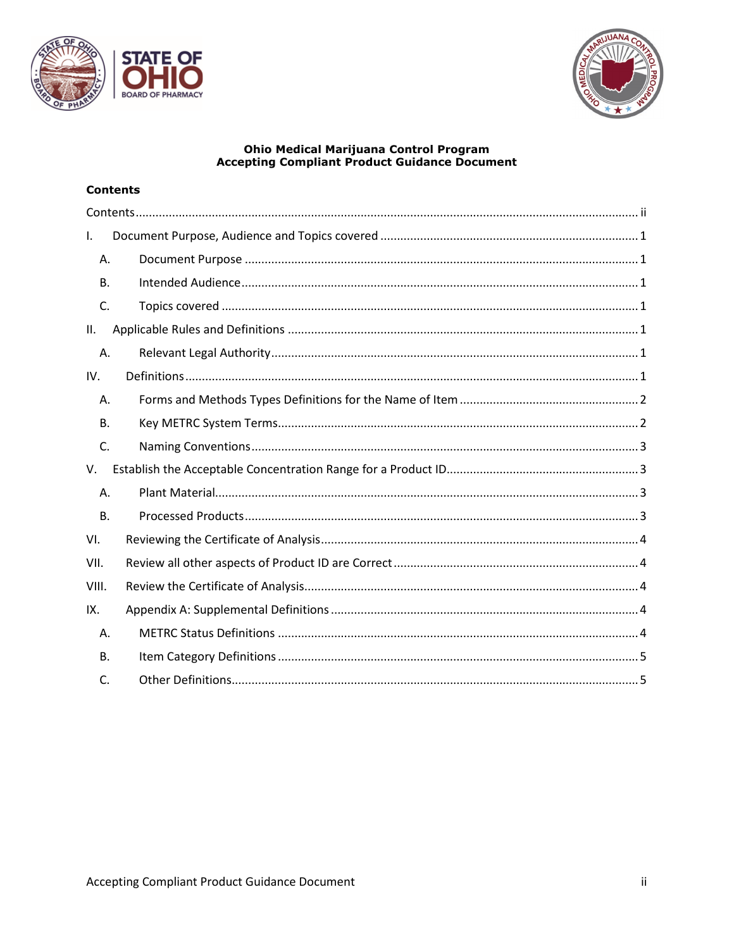



## **Ohio Medical Marijuana Control Program<br>Accepting Compliant Product Guidance Document**

## <span id="page-1-0"></span>**Contents**

| Ι.           |  |
|--------------|--|
| Α.           |  |
| <b>B.</b>    |  |
| C.           |  |
| II.          |  |
| Α.           |  |
| IV.          |  |
| Α.           |  |
| <b>B.</b>    |  |
| C.           |  |
| V.           |  |
| Α.           |  |
| <b>B.</b>    |  |
| VI.          |  |
| VII.         |  |
| VIII.        |  |
| IX.          |  |
| Α.           |  |
| В.           |  |
| $\mathsf{C}$ |  |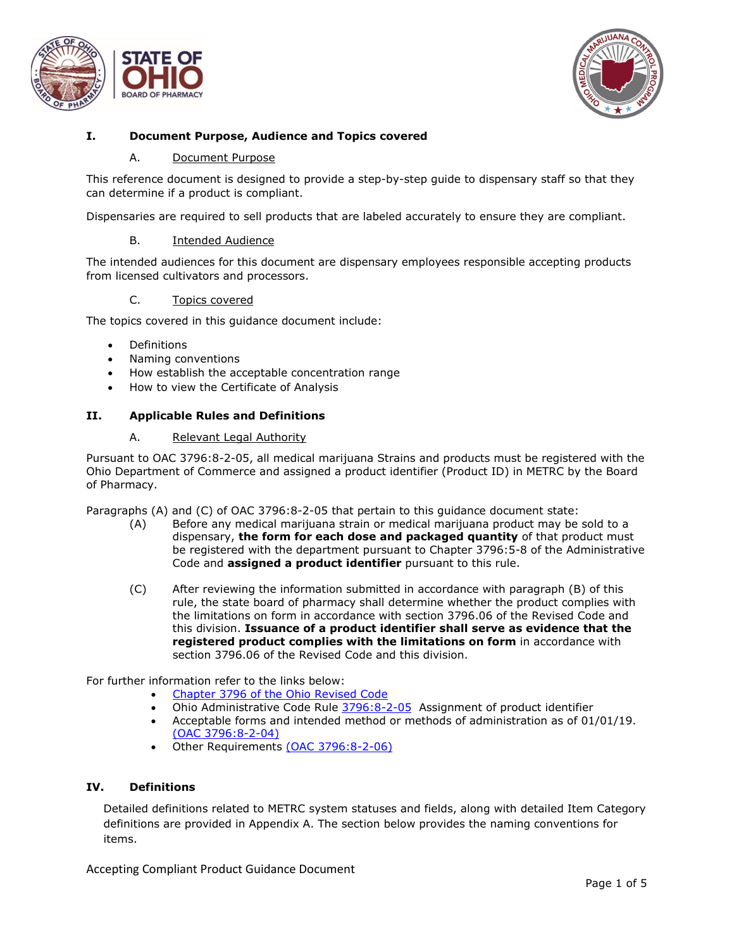



### <span id="page-2-1"></span><span id="page-2-0"></span>**I. Document Purpose, Audience and Topics covered**

#### A. Document Purpose

This reference document is designed to provide a step-by-step guide to dispensary staff so that they can determine if a product is compliant.

Dispensaries are required to sell products that are labeled accurately to ensure they are compliant.

#### B. Intended Audience

<span id="page-2-2"></span>The intended audiences for this document are dispensary employees responsible accepting products from licensed cultivators and processors.

#### C. Topics covered

<span id="page-2-3"></span>The topics covered in this guidance document include:

- **Definitions**
- Naming conventions
- How establish the acceptable concentration range
- How to view the Certificate of Analysis

#### <span id="page-2-5"></span><span id="page-2-4"></span>**II. Applicable Rules and Definitions**

#### A. Relevant Legal Authority

Pursuant to OAC 3796:8-2-05, all medical marijuana Strains and products must be registered with the Ohio Department of Commerce and assigned a product identifier (Product ID) in METRC by the Board of Pharmacy.

Paragraphs (A) and (C) of OAC 3796:8-2-05 that pertain to this guidance document state:

- (A) Before any medical marijuana strain or medical marijuana product may be sold to a dispensary, **the form for each dose and packaged quantity** of that product must be registered with the department pursuant to Chapter 3796:5-8 of the Administrative Code and **assigned a product identifier** pursuant to this rule.
- (C) After reviewing the information submitted in accordance with paragraph (B) of this rule, the state board of pharmacy shall determine whether the product complies with the limitations on form in accordance with section 3796.06 of the Revised Code and this division. **Issuance of a product identifier shall serve as evidence that the registered product complies with the limitations on form** in accordance with section 3796.06 of the Revised Code and this division.

For further information refer to the links below:

- [Chapter 3796 of the Ohio Revised Code](http://codes.ohio.gov/orc/3796)
- Ohio Administrative Code Rule  $3796:8-2-05$  Assignment of product identifier<br>• Acceptable forms and intended method or methods of administration as of 01
- Acceptable forms and intended method or methods of administration as of 01/01/19. [\(OAC 3796:8-2-04\)](http://codes.ohio.gov/oac/3796:8-2-04v1)
- Other Requirements [\(OAC 3796:8-2-06\)](http://codes.ohio.gov/oac/3796:8-2-06)

#### <span id="page-2-6"></span>**IV. Definitions**

Detailed definitions related to METRC system statuses and fields, along with detailed Item Category definitions are provided in Appendix A. The section below provides the naming conventions for items.

Accepting Compliant Product Guidance Document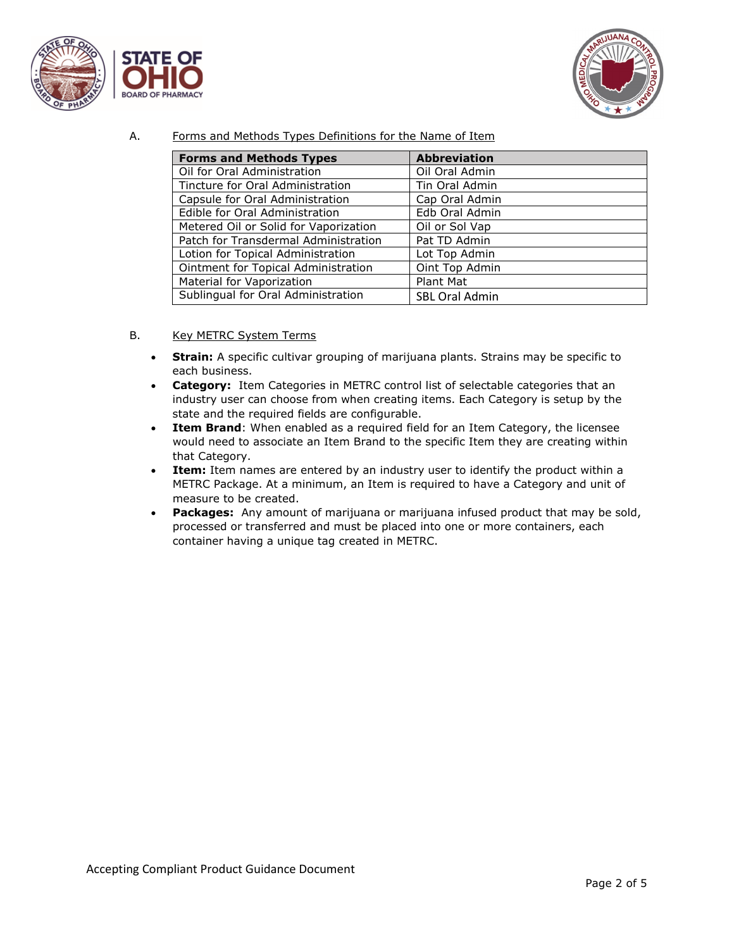



A. Forms and Methods Types Definitions for the Name of Item

<span id="page-3-0"></span>

| <b>Forms and Methods Types</b>        | <b>Abbreviation</b>   |
|---------------------------------------|-----------------------|
| Oil for Oral Administration           | Oil Oral Admin        |
| Tincture for Oral Administration      | Tin Oral Admin        |
| Capsule for Oral Administration       | Cap Oral Admin        |
| Edible for Oral Administration        | Edb Oral Admin        |
| Metered Oil or Solid for Vaporization | Oil or Sol Vap        |
| Patch for Transdermal Administration  | Pat TD Admin          |
| Lotion for Topical Administration     | Lot Top Admin         |
| Ointment for Topical Administration   | Oint Top Admin        |
| Material for Vaporization             | Plant Mat             |
| Sublingual for Oral Administration    | <b>SBL Oral Admin</b> |

- <span id="page-3-1"></span>B. Key METRC System Terms
	- **Strain:** A specific cultivar grouping of marijuana plants. Strains may be specific to each business.
	- **Category:** Item Categories in METRC control list of selectable categories that an industry user can choose from when creating items. Each Category is setup by the state and the required fields are configurable.
	- **Item Brand**: When enabled as a required field for an Item Category, the licensee would need to associate an Item Brand to the specific Item they are creating within that Category.
	- **Item:** Item names are entered by an industry user to identify the product within a METRC Package. At a minimum, an Item is required to have a Category and unit of measure to be created.
	- **Packages:** Any amount of marijuana or marijuana infused product that may be sold, processed or transferred and must be placed into one or more containers, each container having a unique tag created in METRC.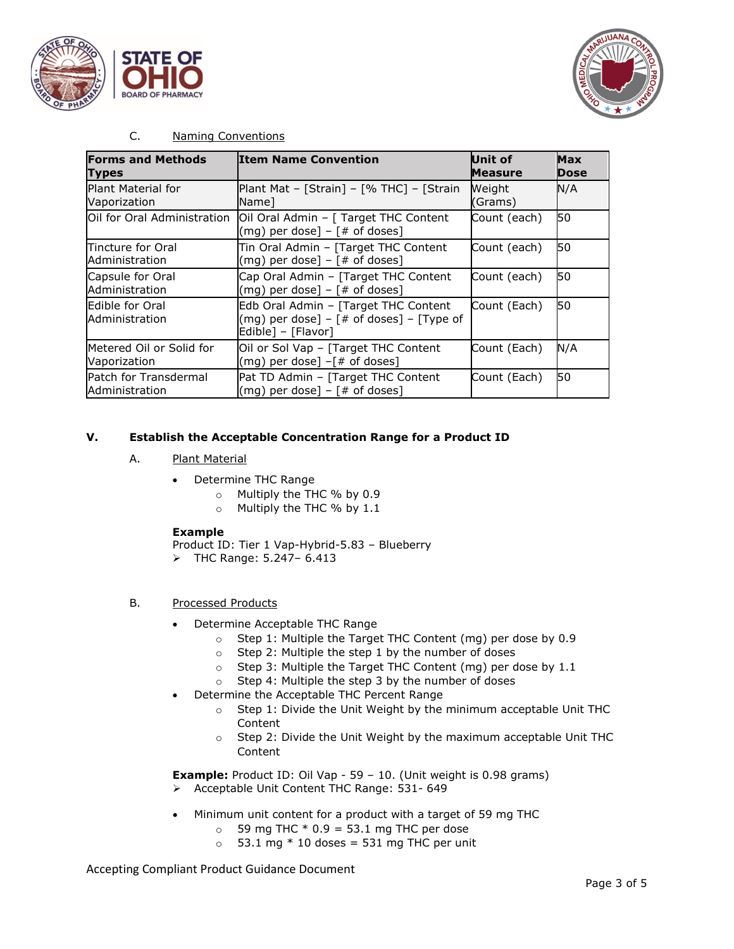



#### C. Naming Conventions

<span id="page-4-0"></span>

| <b>Forms and Methods</b><br><b>Types</b> | <b>Item Name Convention</b>                                                                                  | <b>Unit of</b><br><b>Measure</b> | <b>Max</b><br>Dose |
|------------------------------------------|--------------------------------------------------------------------------------------------------------------|----------------------------------|--------------------|
| Plant Material for<br>Vaporization       | Plant Mat - [Strain] - [% THC] - [Strain]<br>Name1                                                           | Weight<br>(Grams)                | N/A                |
| Oil for Oral Administration              | Oil Oral Admin - [ Target THC Content<br>(mg) per dose] $-$ [# of doses]                                     | Count (each)                     | <b>50</b>          |
| Tincture for Oral<br>Administration      | Tin Oral Admin - [Target THC Content<br>$(mg)$ per dose] – $#$ of doses]                                     | Count (each)                     | <b>50</b>          |
| Capsule for Oral<br>Administration       | Cap Oral Admin - [Target THC Content<br>(mg) per dose] $-$ [# of doses]                                      | Count (each)                     | <b>1</b> 50        |
| Edible for Oral<br>Administration        | Edb Oral Admin - [Target THC Content<br>$(mg)$ per dose] – $#$ of doses] – $[Type of]$<br>Edible] - [Flavor] | Count (Each)                     | <b>1</b> 50        |
| Metered Oil or Solid for<br>Vaporization | Oil or Sol Vap - [Target THC Content<br>$(mg)$ per dose] $-[# of doses]$                                     | Count (Each)                     | N/A                |
| Patch for Transdermal<br>Administration  | Pat TD Admin - [Target THC Content<br>$(mg)$ per dose] – $#$ of doses]                                       | Count (Each)                     | 50                 |

#### <span id="page-4-2"></span><span id="page-4-1"></span>**V. Establish the Acceptable Concentration Range for a Product ID**

- A. Plant Material
	- Determine THC Range
		- o Multiply the THC % by 0.9
		- o Multiply the THC % by 1.1

#### **Example**

Product ID: Tier 1 Vap-Hybrid-5.83 – Blueberry

- THC Range: 5.247– 6.413
- <span id="page-4-3"></span>B. Processed Products
	- Determine Acceptable THC Range
		- o Step 1: Multiple the Target THC Content (mg) per dose by 0.9
		- o Step 2: Multiple the step 1 by the number of doses
		- o Step 3: Multiple the Target THC Content (mg) per dose by 1.1
		- o Step 4: Multiple the step 3 by the number of doses
	- Determine the Acceptable THC Percent Range
		- o Step 1: Divide the Unit Weight by the minimum acceptable Unit THC Content
		- o Step 2: Divide the Unit Weight by the maximum acceptable Unit THC Content

**Example:** Product ID: Oil Vap - 59 - 10. (Unit weight is 0.98 grams) > Acceptable Unit Content THC Range: 531- 649

- Minimum unit content for a product with a target of 59 mg THC
	- $\circ$  59 mg THC  $*$  0.9 = 53.1 mg THC per dose
	- $\circ$  53.1 mg \* 10 doses = 531 mg THC per unit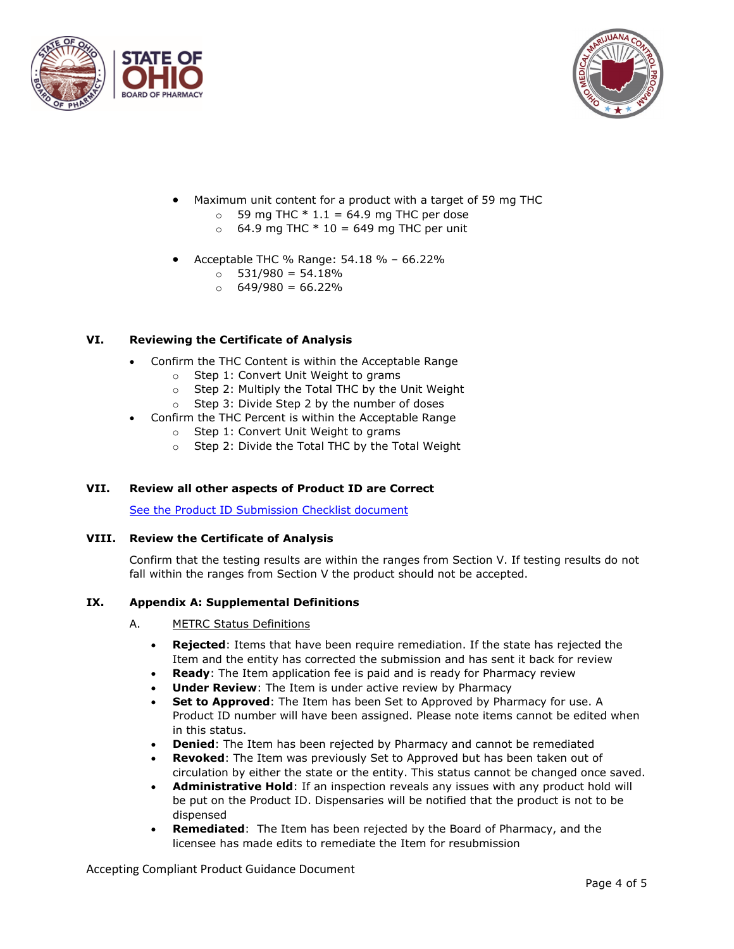



- Maximum unit content for a product with a target of 59 mg THC
	- $\circ$  59 mg THC  $*$  1.1 = 64.9 mg THC per dose
	- $\circ$  64.9 mg THC  $*$  10 = 649 mg THC per unit
- Acceptable THC % Range: 54.18 % 66.22%
	- $\circ$  531/980 = 54.18%
	- $\circ$  649/980 = 66.22%

## <span id="page-5-0"></span>**VI. Reviewing the Certificate of Analysis**

- Confirm the THC Content is within the Acceptable Range
	- o Step 1: Convert Unit Weight to grams
	- o Step 2: Multiply the Total THC by the Unit Weight
	- o Step 3: Divide Step 2 by the number of doses
	- Confirm the THC Percent is within the Acceptable Range
		- o Step 1: Convert Unit Weight to grams
		- o Step 2: Divide the Total THC by the Total Weight

## <span id="page-5-1"></span>**VII. Review all other aspects of Product ID are Correct**

[See the Product ID Submission Checklist document](https://www.medicalmarijuana.ohio.gov/Documents/LicenseeResources/Cultivator%20Licensee%20Resources/Product%20ID%20Assignment/Product%20ID%20Submission%20Checklist.pdf) 

#### <span id="page-5-2"></span>**VIII. Review the Certificate of Analysis**

Confirm that the testing results are within the ranges from Section V. If testing results do not fall within the ranges from Section V the product should not be accepted.

#### <span id="page-5-4"></span><span id="page-5-3"></span>**IX. Appendix A: Supplemental Definitions**

- A. METRC Status Definitions
	- **Rejected**: Items that have been require remediation. If the state has rejected the Item and the entity has corrected the submission and has sent it back for review
	- **Ready:** The Item application fee is paid and is ready for Pharmacy review
	- **Under Review:** The Item is under active review by Pharmacy
	- **Set to Approved**: The Item has been Set to Approved by Pharmacy for use. A Product ID number will have been assigned. Please note items cannot be edited when in this status.
	- **Denied:** The Item has been rejected by Pharmacy and cannot be remediated
	- **Revoked**: The Item was previously Set to Approved but has been taken out of circulation by either the state or the entity. This status cannot be changed once saved.
	- **Administrative Hold**: If an inspection reveals any issues with any product hold will be put on the Product ID. Dispensaries will be notified that the product is not to be dispensed
	- **Remediated**: The Item has been rejected by the Board of Pharmacy, and the licensee has made edits to remediate the Item for resubmission

Accepting Compliant Product Guidance Document